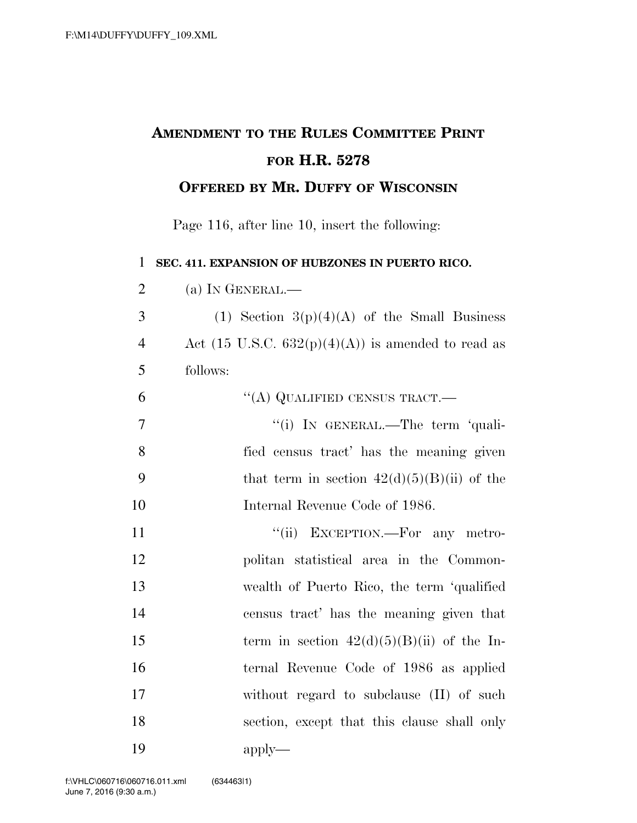## **AMENDMENT TO THE RULES COMMITTEE PRINT FOR H.R. 5278 OFFERED BY MR. DUFFY OF WISCONSIN**

Page 116, after line 10, insert the following:

**SEC. 411. EXPANSION OF HUBZONES IN PUERTO RICO.** 

| $\overline{2}$ | (a) IN GENERAL.—                                              |
|----------------|---------------------------------------------------------------|
| 3              | (1) Section $3(p)(4)(A)$ of the Small Business                |
| $\overline{4}$ | Act $(15 \text{ U.S.C. } 632(p)(4)(A))$ is amended to read as |
| 5              | follows:                                                      |
| 6              | "(A) QUALIFIED CENSUS TRACT.—                                 |
| $\overline{7}$ | "(i) IN GENERAL.—The term 'quali-                             |
| 8              | fied census tract' has the meaning given                      |
| 9              | that term in section $42(d)(5)(B)(ii)$ of the                 |
| 10             | Internal Revenue Code of 1986.                                |
| 11             | "(ii) EXCEPTION.—For any metro-                               |
| 12             | politan statistical area in the Common-                       |
| 13             | wealth of Puerto Rico, the term 'qualified                    |
| 14             | census tract' has the meaning given that                      |
| 15             | term in section $42(d)(5)(B)(ii)$ of the In-                  |
| 16             | ternal Revenue Code of 1986 as applied                        |
| 17             | without regard to subclause (II) of such                      |
| 18             | section, except that this clause shall only                   |
| 19             | $apply-$                                                      |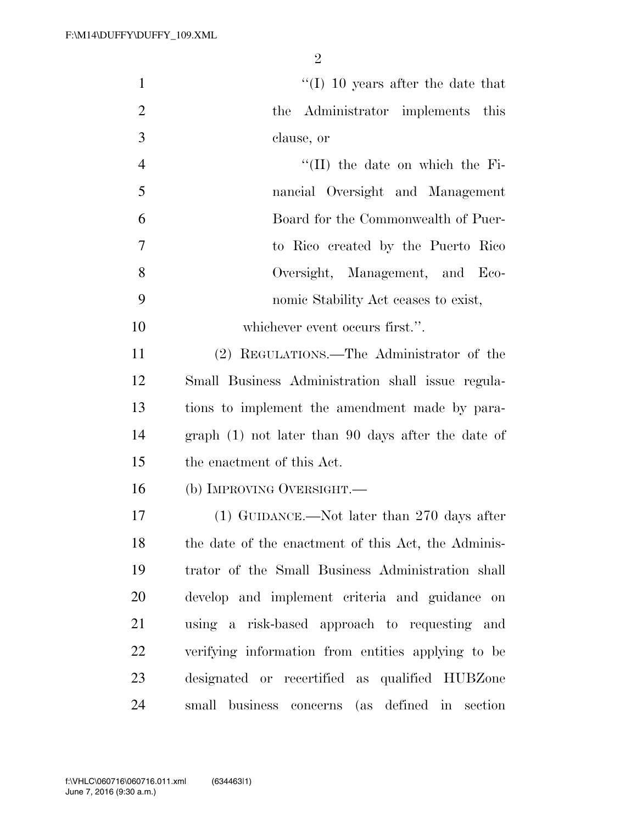| $\mathbf{1}$   | $\lq(1)$ 10 years after the date that               |
|----------------|-----------------------------------------------------|
| $\overline{2}$ | the Administrator implements this                   |
| 3              | clause, or                                          |
| $\overline{4}$ | $\lq\lq$ (II) the date on which the Fi-             |
| 5              | nancial Oversight and Management                    |
| 6              | Board for the Commonwealth of Puer-                 |
| 7              | to Rico created by the Puerto Rico                  |
| 8              | Oversight, Management, and Eco-                     |
| 9              | nomic Stability Act ceases to exist,                |
| 10             | whichever event occurs first.".                     |
| 11             | (2) REGULATIONS.—The Administrator of the           |
| 12             | Small Business Administration shall issue regula-   |
| 13             | tions to implement the amendment made by para-      |
| 14             | $graph(1)$ not later than 90 days after the date of |
| 15             | the enactment of this Act.                          |
| 16             | (b) IMPROVING OVERSIGHT.                            |
| 17             | $(1)$ GUIDANCE.—Not later than 270 days after       |
| 18             | the date of the enactment of this Act, the Adminis- |
| 19             | trator of the Small Business Administration shall   |
| 20             | develop and implement criteria and guidance on      |
| 21             | using a risk-based approach to requesting and       |
| 22             | verifying information from entities applying to be  |
| 23             | designated or recertified as qualified HUBZone      |
| 24             | small business concerns (as defined in section      |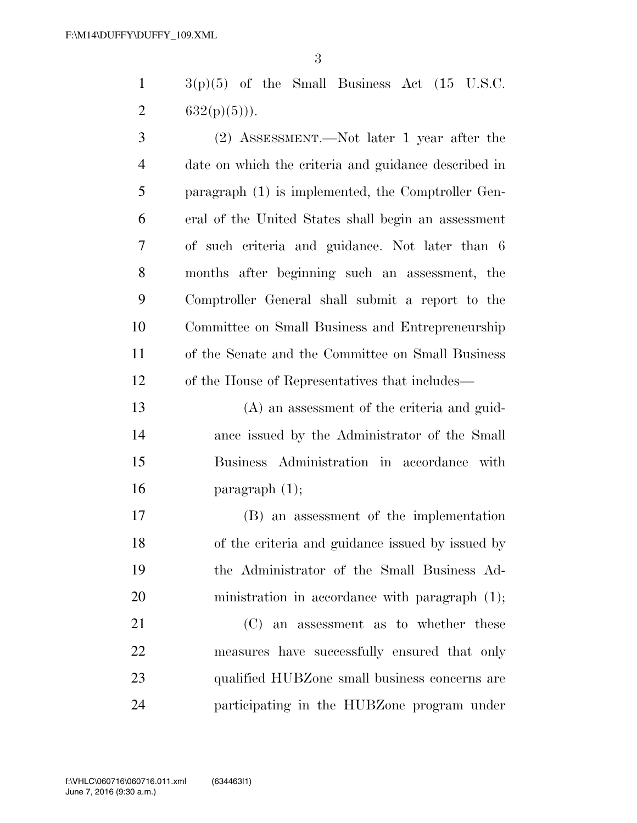$1 \qquad 3(p)(5)$  of the Small Business Act (15 U.S.C. 2  $632(p)(5)$ ).

 (2) ASSESSMENT.—Not later 1 year after the date on which the criteria and guidance described in paragraph (1) is implemented, the Comptroller Gen- eral of the United States shall begin an assessment of such criteria and guidance. Not later than 6 months after beginning such an assessment, the Comptroller General shall submit a report to the Committee on Small Business and Entrepreneurship of the Senate and the Committee on Small Business of the House of Representatives that includes—

 (A) an assessment of the criteria and guid- ance issued by the Administrator of the Small Business Administration in accordance with **paragraph**  $(1)$ ;

 (B) an assessment of the implementation of the criteria and guidance issued by issued by the Administrator of the Small Business Ad-20 ministration in accordance with paragraph  $(1)$ ;

 (C) an assessment as to whether these measures have successfully ensured that only qualified HUBZone small business concerns are participating in the HUBZone program under